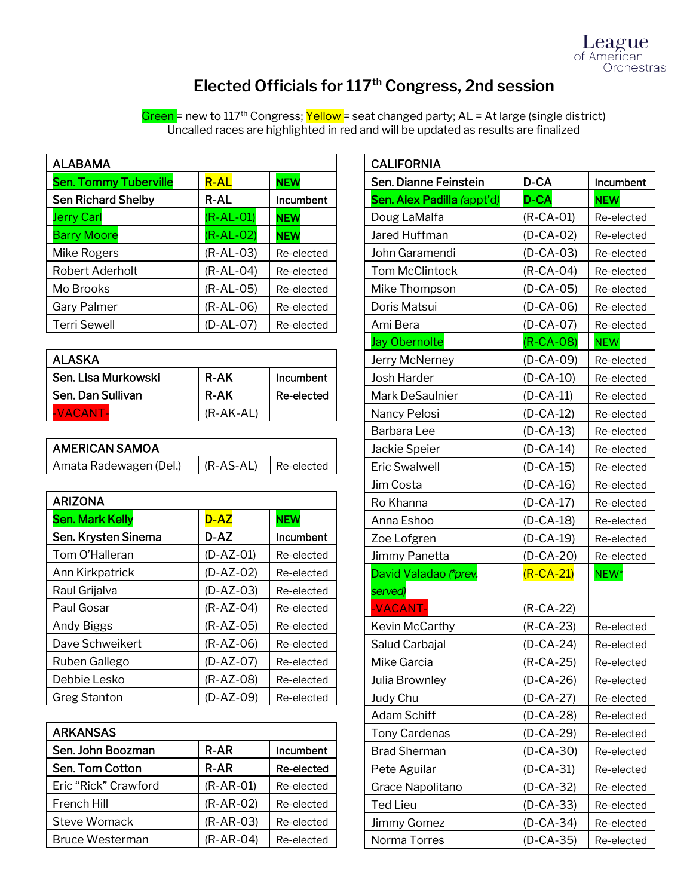

# **Elected Officials for 117th Congress, 2nd session**

Green = new to 117<sup>th</sup> Congress; Yellow = seat changed party; AL = At large (single district) Uncalled races are highlighted in red and will be updated as results are finalized

| <b>ALABAMA</b>               |             |            |
|------------------------------|-------------|------------|
| <b>Sen. Tommy Tuberville</b> | <b>R-AL</b> | <b>NEW</b> |
| <b>Sen Richard Shelby</b>    | R-AL        | Incumbent  |
| <b>Jerry Carl</b>            | $(R-AL-01)$ | <b>NEW</b> |
| <b>Barry Moore</b>           | $(R-AL-02)$ | <b>NEW</b> |
| Mike Rogers                  | $(R-AL-03)$ | Re-elected |
| Robert Aderholt              | $(R-AL-04)$ | Re-elected |
| Mo Brooks                    | $(R-AL-05)$ | Re-elected |
| Gary Palmer                  | $(R-AL-06)$ | Re-elected |
| <b>Terri Sewell</b>          | (D-AL-07)   | Re-elected |

| ALASKA              |             |            |
|---------------------|-------------|------------|
| Sen. Lisa Murkowski | <b>R-AK</b> | Incumbent  |
| Sen. Dan Sullivan   | <b>R-AK</b> | Re-elected |
| -VACANT-            | (R-AK-AL)   |            |

| <b>AMERICAN SAMOA</b>  |                                      |  |
|------------------------|--------------------------------------|--|
| Amata Radewagen (Del.) | $\vert$ (R-AS-AL) $\vert$ Re-elected |  |

| <b>ARIZONA</b>         |             |            |
|------------------------|-------------|------------|
| <b>Sen. Mark Kelly</b> | D-AZ        | <b>NEW</b> |
| Sen. Krysten Sinema    | D-AZ        | Incumbent  |
| Tom O'Halleran         | $(D-AZ-01)$ | Re-elected |
| Ann Kirkpatrick        | $(D-AZ-02)$ | Re-elected |
| Raul Grijalva          | $(D-AZ-03)$ | Re-elected |
| Paul Gosar             | $(R-AZ-04)$ | Re-elected |
| Andy Biggs             | $(R-AZ-05)$ | Re-elected |
| Dave Schweikert        | $(R-AZ-06)$ | Re-elected |
| Ruben Gallego          | $(D-AZ-07)$ | Re-elected |
| Debbie Lesko           | $(R-AZ-08)$ | Re-elected |
| <b>Greg Stanton</b>    | (D-AZ-09)   | Re-elected |

| <b>ARKANSAS</b>        |             |                   |
|------------------------|-------------|-------------------|
| Sen. John Boozman      | <b>R-AR</b> | Incumbent         |
| Sen. Tom Cotton        | <b>R-AR</b> | <b>Re-elected</b> |
| Eric "Rick" Crawford   | $(R-AR-01)$ | Re-elected        |
| French Hill            | $(R-AR-02)$ | Re-elected        |
| Steve Womack           | $(R-AR-03)$ | Re-elected        |
| <b>Bruce Westerman</b> | $(R-AR-04)$ | Re-elected        |

| <b>CALIFORNIA</b>                |                 |            |
|----------------------------------|-----------------|------------|
| Sen. Dianne Feinstein            | D-CA            | Incumbent  |
| Sen. Alex Padilla (appt'd)       | <b>D-CA</b>     | <b>NEW</b> |
| Doug LaMalfa                     | $(R-CA-01)$     | Re-elected |
| Jared Huffman                    | $(D-CA-02)$     | Re-elected |
| John Garamendi                   | $(D-CA-03)$     | Re-elected |
| <b>Tom McClintock</b>            | $(R-CA-04)$     | Re-elected |
| Mike Thompson                    | $(D-CA-05)$     | Re-elected |
| Doris Matsui                     | $(D-CA-06)$     | Re-elected |
| Ami Bera                         | $(D-CA-07)$     | Re-elected |
| <b>Jay Obernolte</b>             | $(R-CA-08)$     | <b>NEW</b> |
| Jerry McNerney                   | $(D-CA-09)$     | Re-elected |
| Josh Harder                      | $(D-CA-10)$     | Re-elected |
| Mark DeSaulnier                  | $(D-CA-11)$     | Re-elected |
| Nancy Pelosi                     | $(D-CA-12)$     | Re-elected |
| Barbara Lee                      | $(D-CA-13)$     | Re-elected |
| Jackie Speier                    | $(D-CA-14)$     | Re-elected |
| Eric Swalwell                    | $(D-CA-15)$     | Re-elected |
| Jim Costa                        | $(D-CA-16)$     | Re-elected |
| Ro Khanna                        | $(D-CA-17)$     | Re-elected |
| Anna Eshoo                       | $(D-CA-18)$     | Re-elected |
| Zoe Lofgren                      | $(D-CA-19)$     | Re-elected |
| Jimmy Panetta                    | $(D-CA-20)$     | Re-elected |
| David Valadao (*prev.<br>served) | $(R-CA-21)$     | NEW*       |
| -VACANT-                         | (R-CA-22)       |            |
| Kevin McCarthy                   | $(R-CA-23)$     | Re-elected |
| Salud Carbajal                   | (D-CA-24)       | Re-elected |
| Mike Garcia                      | $(R-CA-25)$     | Re-elected |
| Julia Brownley                   | $(D-CA-26)$     | Re-elected |
| Judy Chu                         | $(D-CA-27)$     | Re-elected |
| <b>Adam Schiff</b>               | $(D-CA-28)$     | Re-elected |
| <b>Tony Cardenas</b>             | $(D-CA-29)$     | Re-elected |
| <b>Brad Sherman</b>              | $(D - CA - 30)$ | Re-elected |
| Pete Aguilar                     | $(D-CA-31)$     | Re-elected |
| Grace Napolitano                 | (D-CA-32)       | Re-elected |
| <b>Ted Lieu</b>                  | (D-CA-33)       | Re-elected |
| Jimmy Gomez                      | (D-CA-34)       | Re-elected |
| Norma Torres                     | $(D-CA-35)$     | Re-elected |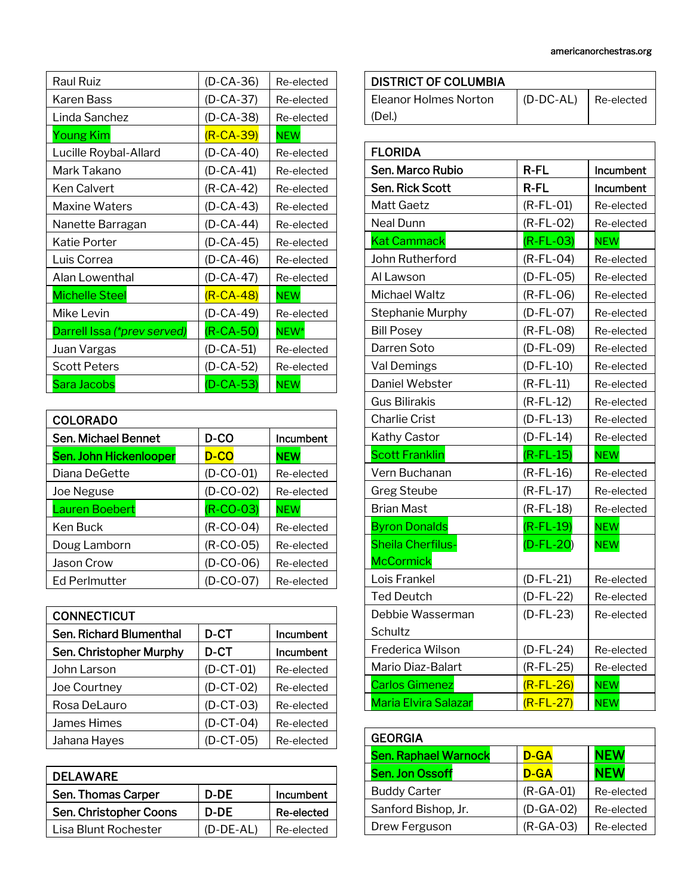| Raul Ruiz                   | $(D-CA-36)$     | Re-elected |
|-----------------------------|-----------------|------------|
| Karen Bass                  | $(D - CA - 37)$ | Re-elected |
| Linda Sanchez               | $(D-CA-38)$     | Re-elected |
| <b>Young Kim</b>            | $(R-CA-39)$     | <b>NEW</b> |
| Lucille Roybal-Allard       | (D-CA-40)       | Re-elected |
| Mark Takano                 | $(D-CA-41)$     | Re-elected |
| Ken Calvert                 | (R-CA-42)       | Re-elected |
| Maxine Waters               | (D-CA-43)       | Re-elected |
| Nanette Barragan            | $(D-CA-44)$     | Re-elected |
| Katie Porter                | $(D-CA-45)$     | Re-elected |
| Luis Correa                 | $(D-CA-46)$     | Re-elected |
| Alan Lowenthal              | $(D-CA-47)$     | Re-elected |
| <b>Michelle Steel</b>       | $(R-CA-48)$     | <b>NEW</b> |
| Mike Levin                  | $(D-CA-49)$     | Re-elected |
| Darrell Issa (*prev served) | $(R-CA-50)$     | NEW*       |
| Juan Vargas                 | $(D-CA-51)$     | Re-elected |
| <b>Scott Peters</b>         | (D-CA-52)       | Re-elected |
| Sara Jacobs                 | $(D-CA-53)$     | <b>NEW</b> |

| <b>COLORADO</b>               |             |            |
|-------------------------------|-------------|------------|
| Sen. Michael Bennet           | D-CO        | Incumbent  |
| <b>Sen. John Hickenlooper</b> | D-CO        | <b>NEW</b> |
| Diana DeGette                 | $(D-CO-01)$ | Re-elected |
| Joe Neguse                    | $(D-CO-02)$ | Re-elected |
| Lauren Boebert                | $(R-CO-03)$ | <b>NEW</b> |
| Ken Buck                      | $(R-CO-04)$ | Re-elected |
| Doug Lamborn                  | $(R-CO-05)$ | Re-elected |
| Jason Crow                    | $(D-CO-06)$ | Re-elected |
| <b>Ed Perlmutter</b>          | (D-CO-07)   | Re-elected |

| <b>CONNECTICUT</b>      |             |            |
|-------------------------|-------------|------------|
| Sen. Richard Blumenthal | D-CT        | Incumbent  |
| Sen. Christopher Murphy | D-CT        | Incumbent  |
| John Larson             | $(D-CT-01)$ | Re-elected |
| Joe Courtney            | $(D-CT-02)$ | Re-elected |
| Rosa DeLauro            | $(D-CT-03)$ | Re-elected |
| James Himes             | $(D-CT-04)$ | Re-elected |
| Jahana Hayes            | $(D-CT-05)$ | Re-elected |

| <b>DELAWARE</b>        |             |            |
|------------------------|-------------|------------|
| Sen. Thomas Carper     | D-DE        | Incumbent  |
| Sen. Christopher Coons | D-DF        | Re-elected |
| Lisa Blunt Rochester   | $(D-DE-AL)$ | Re-elected |

| DISTRICT OF COLUMBIA         |             |            |
|------------------------------|-------------|------------|
| <b>Fleanor Holmes Norton</b> | $(D-DC-AL)$ | Re-elected |
| (Del.)                       |             |            |

| <b>FLORIDA</b>              |              |            |
|-----------------------------|--------------|------------|
| Sen. Marco Rubio            | R-FL         | Incumbent  |
| <b>Sen. Rick Scott</b>      | $R$ -FL      | Incumbent  |
| <b>Matt Gaetz</b>           | $(R$ -FL-01) | Re-elected |
| Neal Dunn                   | $(R$ -FL-02) | Re-elected |
| <b>Kat Cammack</b>          | $(R$ -FL-03) | <b>NEW</b> |
| John Rutherford             | $(R$ -FL-04) | Re-elected |
| Al Lawson                   | $(D-FL-05)$  | Re-elected |
| <b>Michael Waltz</b>        | $(R$ -FL-06) | Re-elected |
| Stephanie Murphy            | $(D-FL-O7)$  | Re-elected |
| <b>Bill Posey</b>           | $(R$ -FL-08) | Re-elected |
| Darren Soto                 | $(D-FL-O9)$  | Re-elected |
| Val Demings                 | $(D-FL-10)$  | Re-elected |
| Daniel Webster              | $(R$ -FL-11) | Re-elected |
| <b>Gus Bilirakis</b>        | $(R$ -FL-12) | Re-elected |
| <b>Charlie Crist</b>        | $(D-FL-13)$  | Re-elected |
| Kathy Castor                | $(D$ -FL-14) | Re-elected |
| <b>Scott Franklin</b>       | $(R$ -FL-15) | <b>NEW</b> |
| Vern Buchanan               | $(R$ -FL-16) | Re-elected |
| <b>Greg Steube</b>          | $(R$ -FL-17) | Re-elected |
| <b>Brian Mast</b>           | $(R$ -FL-18) | Re-elected |
| <b>Byron Donalds</b>        | $(R$ -FL-19) | <b>NEW</b> |
| <b>Sheila Cherfilus-</b>    | $(D-FL-20)$  | <b>NEW</b> |
| <b>McCormick</b>            |              |            |
| Lois Frankel                | $(D-FL-21)$  | Re-elected |
| <b>Ted Deutch</b>           | $(D-FL-22)$  | Re-elected |
| Debbie Wasserman            | $(D-FL-23)$  | Re-elected |
| Schultz                     |              |            |
| Frederica Wilson            | $(D-FL-24)$  | Re-elected |
| Mario Diaz-Balart           | $(R$ -FL-25) | Re-elected |
| <b>Carlos Gimenez</b>       | $(R$ -FL-26) | <b>NEW</b> |
| <b>Maria Elvira Salazar</b> | $(R$ -FL-27) | <b>NEW</b> |

| <b>GEORGIA</b>              |             |            |
|-----------------------------|-------------|------------|
| <b>Sen. Raphael Warnock</b> | D-GA        | <b>NEW</b> |
| <b>Sen. Jon Ossoff</b>      | D-GA        | <b>NEW</b> |
| <b>Buddy Carter</b>         | $(R-GA-01)$ | Re-elected |
| Sanford Bishop, Jr.         | $(D-GA-02)$ | Re-elected |
| Drew Ferguson               | $(R-GA-03)$ | Re-elected |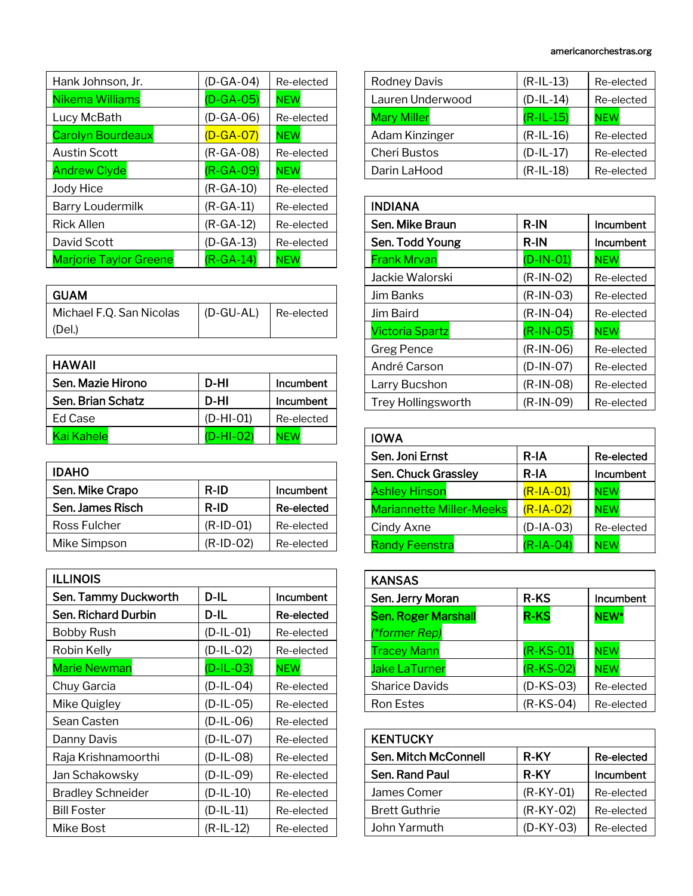| Hank Johnson, Jr.             | $(D-GA-04)$ | Re-elected |
|-------------------------------|-------------|------------|
| Nikema Williams               | $(D-GA-OS)$ | <b>NEW</b> |
| Lucy McBath                   | $(D-GA-06)$ | Re-elected |
| <b>Carolyn Bourdeaux</b>      | $(D-GA-07)$ | <b>NEW</b> |
| <b>Austin Scott</b>           | $(R-GA-08)$ | Re-elected |
| <b>Andrew Clyde</b>           | $(R-GA-09)$ | <b>NEW</b> |
| Jody Hice                     | $(R-GA-10)$ | Re-elected |
| <b>Barry Loudermilk</b>       | $(R-GA-11)$ | Re-elected |
| <b>Rick Allen</b>             | $(R-GA-12)$ | Re-elected |
| David Scott                   | $(D-GA-13)$ | Re-elected |
| <b>Marjorie Taylor Greene</b> | $(R-GA-14)$ | <b>NEW</b> |

| GUAM                     |           |            |
|--------------------------|-----------|------------|
| Michael F.Q. San Nicolas | (D-GU-AL) | Re-elected |
| (Del.)                   |           |            |

| <b>HAWAII</b>     |             |            |
|-------------------|-------------|------------|
| Sen. Mazie Hirono | D-HI        | Incumbent  |
| Sen. Brian Schatz | D-HI        | Incumbent  |
| Ed Case           | $(D-HI-01)$ | Re-elected |
| Kai Kahelel       | $(D-HI-02)$ | NF W       |

| <b>IDAHO</b>     |              |            |
|------------------|--------------|------------|
| Sen. Mike Crapo  | R-ID         | Incumbent  |
| Sen. James Risch | <b>R-ID</b>  | Re-elected |
| Ross Fulcher     | $(R$ -ID-01) | Re-elected |
| Mike Simpson     | $(R$ -ID-02) | Re-elected |

| <b>ILLINOIS</b>          |             |            |
|--------------------------|-------------|------------|
| Sen. Tammy Duckworth     | D-IL        | Incumbent  |
| Sen. Richard Durbin      | D-IL        | Re-elected |
| <b>Bobby Rush</b>        | $(D-IL-O1)$ | Re-elected |
| Robin Kelly              | $(D-IL-02)$ | Re-elected |
| Marie Newman             | $(D-IL-03)$ | <b>NEW</b> |
| Chuy Garcia              | $(D-IL-O4)$ | Re-elected |
| Mike Quigley             | $(D-IL-05)$ | Re-elected |
| Sean Casten              | $(D-IL-06)$ | Re-elected |
| Danny Davis              | $(D-IL-O7)$ | Re-elected |
| Raja Krishnamoorthi      | $(D-IL-08)$ | Re-elected |
| Jan Schakowsky           | $(D-IL-09)$ | Re-elected |
| <b>Bradley Schneider</b> | $(D-IL-10)$ | Re-elected |
| <b>Bill Foster</b>       | $(D-IL-11)$ | Re-elected |
| Mike Bost                | (R-IL-12)   | Re-elected |

| Rodney Davis        | $(R-IL-13)$ | Re-elected |
|---------------------|-------------|------------|
| Lauren Underwood    | $(D-IL-14)$ | Re-elected |
| <b>Mary Miller</b>  | $(R-IL-15)$ | <b>NEW</b> |
| Adam Kinzinger      | $(R-IL-16)$ | Re-elected |
| <b>Cheri Bustos</b> | $(D-IL-17)$ | Re-elected |
| Darin LaHood        | $(R-IL-18)$ | Re-elected |

| <b>INDIANA</b>            |             |            |
|---------------------------|-------------|------------|
| Sen. Mike Braun           | R-IN        | Incumbent  |
| Sen. Todd Young           | <b>R-IN</b> | Incumbent  |
| <b>Frank Mrvan</b>        | $(D-IN-O1)$ | <b>NEW</b> |
| Jackie Walorski           | $(R-IN-O2)$ | Re-elected |
| Jim Banks                 | $(R-IN-03)$ | Re-elected |
| Jim Baird                 | $(R-IN-04)$ | Re-elected |
| <b>Victoria Spartz</b>    | $(R-IN-O5)$ | <b>NEW</b> |
| Greg Pence                | $(R-IN-06)$ | Re-elected |
| André Carson              | $(D-IN-O7)$ | Re-elected |
| Larry Bucshon             | $(R-IN-08)$ | Re-elected |
| <b>Trey Hollingsworth</b> | $(R-IN-09)$ | Re-elected |

| <b>IOWA</b>                     |              |            |
|---------------------------------|--------------|------------|
| Sen. Joni Ernst                 | R-IA         | Re-elected |
| Sen. Chuck Grassley             | $R-IA$       | Incumbent  |
| <b>Ashley Hinson</b>            | $(R$ -IA-01) | <b>NEW</b> |
| <b>Mariannette Miller-Meeks</b> | $(R$ -IA-02) | <b>NEW</b> |
| Cindy Axne                      | $(D-IA-03)$  | Re-elected |
| <b>Randy Feenstra</b>           | $(R$ -IA-04) | <b>NFW</b> |

| <b>KANSAS</b>              |             |            |
|----------------------------|-------------|------------|
| Sen. Jerry Moran           | <b>R-KS</b> | Incumbent  |
| <b>Sen. Roger Marshall</b> | <b>R-KS</b> | NEW*       |
| (*former Rep)              |             |            |
| <b>Tracey Mann</b>         | $(R-KS-01)$ | <b>NEW</b> |
| <b>Jake LaTurner</b>       | $(R-KS-02)$ | <b>NEW</b> |
| <b>Sharice Davids</b>      | $(D-KS-03)$ | Re-elected |
| <b>Ron Estes</b>           | $(R-KS-04)$ | Re-elected |

| <b>KENTUCKY</b>      |             |            |
|----------------------|-------------|------------|
| Sen. Mitch McConnell | R-KY        | Re-elected |
| Sen. Rand Paul       | <b>R-KY</b> | Incumbent  |
| James Comer          | $(R-KY-01)$ | Re-elected |
| <b>Brett Guthrie</b> | $(R-KY-02)$ | Re-elected |
| John Yarmuth         | $(D-KY-03)$ | Re-elected |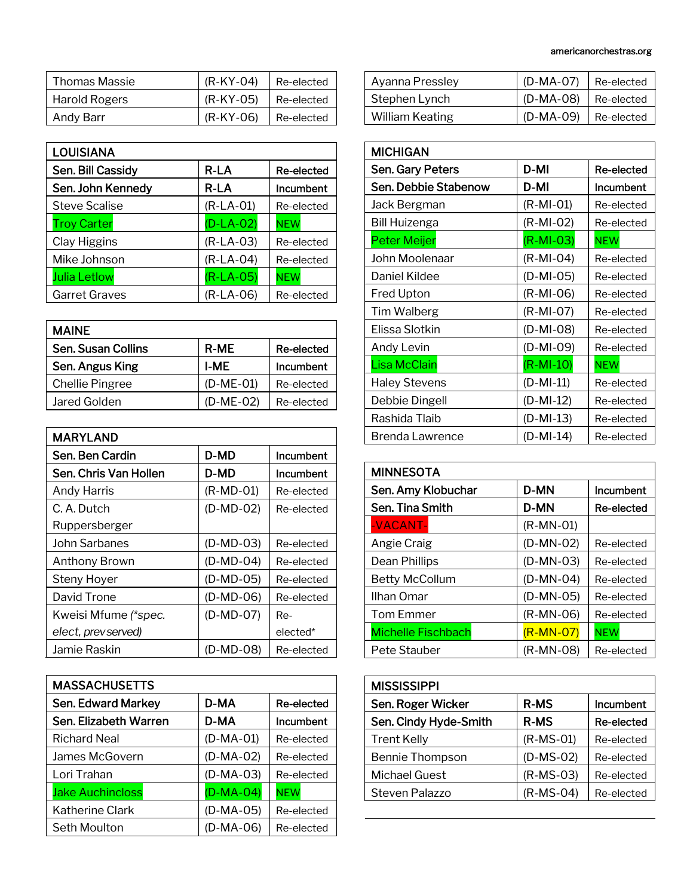| Thomas Massie        | $(R-KY-04)$ | Re-elected |
|----------------------|-------------|------------|
| <b>Harold Rogers</b> | $(R-KY-05)$ | Re-elected |
| Andy Barr            | $(R-KY-06)$ | Re-elected |

| <b>LOUISIANA</b>     |             |            |
|----------------------|-------------|------------|
| Sen. Bill Cassidy    | R-LA        | Re-elected |
| Sen. John Kennedy    | R-LA        | Incumbent  |
| <b>Steve Scalise</b> | $(R-LA-01)$ | Re-elected |
| <b>Troy Carter</b>   | $(D-LA-02)$ | <b>NEW</b> |
| Clay Higgins         | $(R-LA-03)$ | Re-elected |
| Mike Johnson         | $(R-LA-04)$ | Re-elected |
| <b>Julia Letlow</b>  | $(R-LA-05)$ | <b>NEW</b> |
| <b>Garret Graves</b> | $(R-LA-06)$ | Re-elected |

| <b>MAINE</b>              |             |            |
|---------------------------|-------------|------------|
| <b>Sen. Susan Collins</b> | <b>R-ME</b> | Re-elected |
| Sen. Angus King           | I-ME        | Incumbent  |
| <b>Chellie Pingree</b>    | $(D-ME-01)$ | Re-elected |
| Jared Golden              | $(D-ME-02)$ | Re-elected |

| <b>MARYLAND</b>       |             |            |
|-----------------------|-------------|------------|
| Sen. Ben Cardin       | D-MD        | Incumbent  |
| Sen. Chris Van Hollen | D-MD        | Incumbent  |
| <b>Andy Harris</b>    | $(R-MD-01)$ | Re-elected |
| C. A. Dutch           | $(D-MD-02)$ | Re-elected |
| Ruppersberger         |             |            |
| John Sarbanes         | $(D-MD-03)$ | Re-elected |
| <b>Anthony Brown</b>  | $(D-MD-04)$ | Re-elected |
| Steny Hoyer           | $(D-MD-05)$ | Re-elected |
| David Trone           | (D-MD-06)   | Re-elected |
| Kweisi Mfume (*spec.  | $(D-MD-07)$ | Re-        |
| elect, prev served)   |             | elected*   |
| Jamie Raskin          | (D-MD-08)   | Re-elected |

| <b>MASSACHUSETTS</b>    |             |            |
|-------------------------|-------------|------------|
| Sen. Edward Markey      | D-MA        | Re-elected |
| Sen. Elizabeth Warren   | D-MA        | Incumbent  |
| <b>Richard Neal</b>     | $(D-MA-01)$ | Re-elected |
| James McGovern          | $(D-MA-02)$ | Re-elected |
| Lori Trahan             | $(D-MA-03)$ | Re-elected |
| <b>Jake Auchincloss</b> | $(D-MA-04)$ | <b>NEW</b> |
| Katherine Clark         | $(D-MA-05)$ | Re-elected |
| Seth Moulton            | $(D-MA-06)$ | Re-elected |

|  | americanorchestras.org |
|--|------------------------|
|--|------------------------|

| Ayanna Pressley        | (D-MA-07)              | Re-elected |
|------------------------|------------------------|------------|
| Stephen Lynch          | $(D-MA-08)$ Re-elected |            |
| <b>William Keating</b> | $(D-MA-09)$ Re-elected |            |

| <b>MICHIGAN</b>      |             |            |
|----------------------|-------------|------------|
| Sen. Gary Peters     | D-MI        | Re-elected |
| Sen. Debbie Stabenow | D-MI        | Incumbent  |
| Jack Bergman         | $(R-MI-01)$ | Re-elected |
| Bill Huizenga        | (R-MI-02)   | Re-elected |
| <b>Peter Meijer</b>  | $(R-MI-03)$ | <b>NEW</b> |
| John Moolenaar       | $(R-MI-04)$ | Re-elected |
| Daniel Kildee        | $(D-MI-05)$ | Re-elected |
| <b>Fred Upton</b>    | $(R-MI-06)$ | Re-elected |
| Tim Walberg          | $(R-MI-07)$ | Re-elected |
| Elissa Slotkin       | $(D-MI-08)$ | Re-elected |
| Andy Levin           | $(D-MI-09)$ | Re-elected |
| Lisa McClain         | $(R-MI-10)$ | <b>NEW</b> |
| <b>Haley Stevens</b> | $(D-MI-11)$ | Re-elected |
| Debbie Dingell       | $(D-MI-12)$ | Re-elected |
| Rashida Tlaib        | $(D-MI-13)$ | Re-elected |
| Brenda Lawrence      | (D-MI-14)   | Re-elected |

| <b>MINNESOTA</b>          |             |            |
|---------------------------|-------------|------------|
| Sen. Amy Klobuchar        | D-MN        | Incumbent  |
| Sen. Tina Smith           | D-MN        | Re-elected |
| -VACANT-                  | $(R-MN-01)$ |            |
| Angie Craig               | $(D-MN-02)$ | Re-elected |
| Dean Phillips             | $(D-MN-03)$ | Re-elected |
| Betty McCollum            | $(D-MN-04)$ | Re-elected |
| Ilhan Omar                | $(D-MN-05)$ | Re-elected |
| <b>Tom Emmer</b>          | $(R-MN-06)$ | Re-elected |
| <b>Michelle Fischbach</b> | $(R-MN-07)$ | <b>NEW</b> |
| Pete Stauber              | $(R-MN-08)$ | Re-elected |

| <b>MISSISSIPPI</b>    |             |            |
|-----------------------|-------------|------------|
| Sen. Roger Wicker     | <b>R-MS</b> | Incumbent  |
| Sen. Cindy Hyde-Smith | <b>R-MS</b> | Re-elected |
| <b>Trent Kelly</b>    | $(R-MS-01)$ | Re-elected |
| Bennie Thompson       | $(D-MS-02)$ | Re-elected |
| <b>Michael Guest</b>  | $(R-MS-03)$ | Re-elected |
| Steven Palazzo        | $(R-MS-04)$ | Re-elected |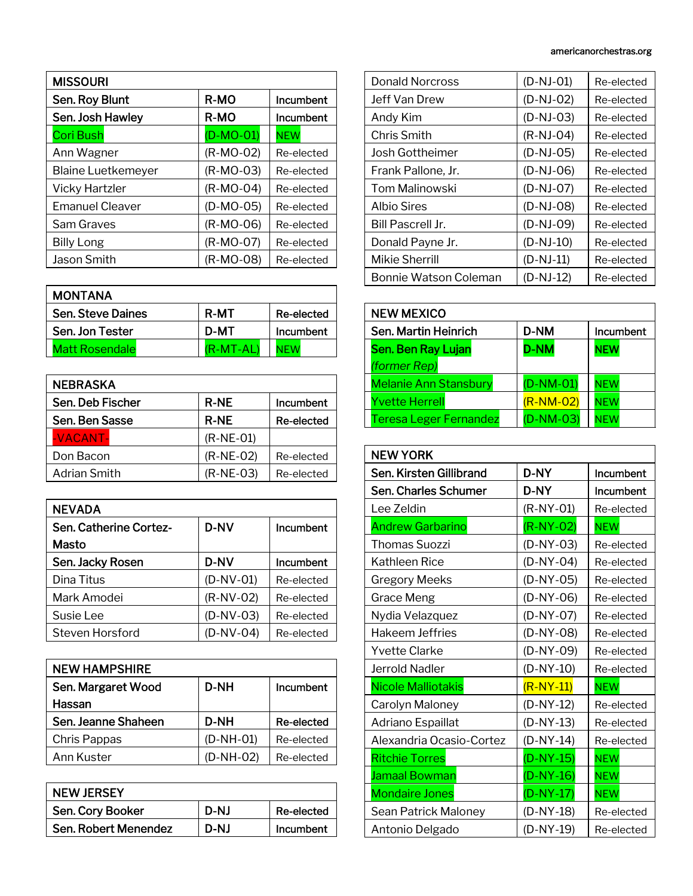| <b>MISSOURI</b>           |             |            |
|---------------------------|-------------|------------|
| Sen. Roy Blunt            | R-MO        | Incumbent  |
| Sen. Josh Hawley          | R-MO        | Incumbent  |
| <b>Cori Bush</b>          | $(D-MO-01)$ | <b>NEW</b> |
| Ann Wagner                | $(R-MO-02)$ | Re-elected |
| <b>Blaine Luetkemeyer</b> | $(R-MO-03)$ | Re-elected |
| Vicky Hartzler            | $(R-MO-04)$ | Re-elected |
| <b>Emanuel Cleaver</b>    | $(D-MO-05)$ | Re-elected |
| Sam Graves                | (R-MO-06)   | Re-elected |
| <b>Billy Long</b>         | $(R-MO-07)$ | Re-elected |
| <b>Jason Smith</b>        | (R-MO-08)   | Re-elected |

| <b>MONTANA</b>          |             |            |
|-------------------------|-------------|------------|
| <b>Sen Steve Daines</b> | <b>R-MT</b> | Re-elected |
| Sen. Jon Tester         | D-MT        | Incumbent  |
| <b>Matt Rosendale</b>   | $(R-MT-AL)$ |            |

| <b>R-NE</b> | Incumbent  |
|-------------|------------|
| <b>R-NE</b> | Re-elected |
| $(R-NE-01)$ |            |
| $(R-NE-02)$ | Re-elected |
| $(R-NE-03)$ | Re-elected |
|             |            |

| <b>NEVADA</b>          |             |            |
|------------------------|-------------|------------|
| Sen. Catherine Cortez- | <b>D-NV</b> | Incumbent  |
| Masto                  |             |            |
| Sen. Jacky Rosen       | <b>D-NV</b> | Incumbent  |
| Dina Titus             | $(D-NV-01)$ | Re-elected |
| Mark Amodei            | $(R-NV-02)$ | Re-elected |
| Susie Lee              | $(D-NV-03)$ | Re-elected |
| Steven Horsford        | $(D-NV-04)$ | Re-elected |

| <b>NEW HAMPSHIRE</b> |             |            |
|----------------------|-------------|------------|
| Sen. Margaret Wood   | <b>D-NH</b> | Incumbent  |
| Hassan               |             |            |
| Sen. Jeanne Shaheen  | D-NH        | Re-elected |
| Chris Pappas         | $(D-NH-01)$ | Re-elected |
| Ann Kuster           | (D-NH-02)   | Re-elected |

| <b>NEW JERSEY</b>    |      |            |
|----------------------|------|------------|
| Sen. Cory Booker     | D-NJ | Re-elected |
| Sen. Robert Menendez | D-NJ | Incumbent  |

| <b>Donald Norcross</b> | $(D-NJ-01)$ | Re-elected |
|------------------------|-------------|------------|
| Jeff Van Drew          | (D-NJ-02)   | Re-elected |
| Andy Kim               | $(D-NJ-03)$ | Re-elected |
| Chris Smith            | $(R-NJ-04)$ | Re-elected |
| Josh Gottheimer        | $(D-NJ-05)$ | Re-elected |
| Frank Pallone, Jr.     | $(D-NJ-06)$ | Re-elected |
| <b>Tom Malinowski</b>  | (D-NJ-07)   | Re-elected |
| Albio Sires            | $(D-NJ-08)$ | Re-elected |
| Bill Pascrell Jr.      | $(D-NJ-09)$ | Re-elected |
| Donald Payne Jr.       | $(D-NJ-10)$ | Re-elected |
| Mikie Sherrill         | $(D-NJ-11)$ | Re-elected |
| Bonnie Watson Coleman  | (D-NJ-12)   | Re-elected |

| <b>NEW MEXICO</b>             |             |            |
|-------------------------------|-------------|------------|
| Sen. Martin Heinrich          | <b>D-NM</b> | Incumbent  |
| Sen. Ben Ray Lujan            | <b>D-NM</b> | <b>NEW</b> |
| (former Rep)                  |             |            |
| <b>Melanie Ann Stansbury</b>  | $(D-NM-01)$ | <b>NEW</b> |
| <b>Yvette Herrell</b>         | $(R-NM-02)$ | <b>NEW</b> |
| <b>Teresa Leger Fernandez</b> | $(D-NM-03)$ | <b>NEW</b> |

| <b>NEW YORK</b>           |             |            |
|---------------------------|-------------|------------|
| Sen. Kirsten Gillibrand   | D-NY        | Incumbent  |
| Sen. Charles Schumer      | D-NY        | Incumbent  |
| Lee Zeldin                | $(R-NY-01)$ | Re-elected |
| <b>Andrew Garbarino</b>   | $(R-NY-02)$ | <b>NEW</b> |
| <b>Thomas Suozzi</b>      | $(D-NY-03)$ | Re-elected |
| Kathleen Rice             | $(D-NY-04)$ | Re-elected |
| <b>Gregory Meeks</b>      | $(D-NY-05)$ | Re-elected |
| Grace Meng                | $(D-NY-06)$ | Re-elected |
| Nydia Velazquez           | $(D-NY-07)$ | Re-elected |
| <b>Hakeem Jeffries</b>    | $(D-NY-08)$ | Re-elected |
| Yvette Clarke             | $(D-NY-09)$ | Re-elected |
| <b>Jerrold Nadler</b>     | $(D-NY-10)$ | Re-elected |
| <b>Nicole Malliotakis</b> | $(R-NY-11)$ | <b>NEW</b> |
| Carolyn Maloney           | $(D-NY-12)$ | Re-elected |
| Adriano Espaillat         | $(D-NY-13)$ | Re-elected |
| Alexandria Ocasio-Cortez  | $(D-NY-14)$ | Re-elected |
| <b>Ritchie Torres</b>     | $(D-NY-15)$ | <b>NEW</b> |
| <b>Jamaal Bowman</b>      | $(D-NY-16)$ | <b>NEW</b> |
| <b>Mondaire Jones</b>     | $(D-NY-17)$ | <b>NEW</b> |
| Sean Patrick Maloney      | $(D-NY-18)$ | Re-elected |
| Antonio Delgado           | $(D-NY-19)$ | Re-elected |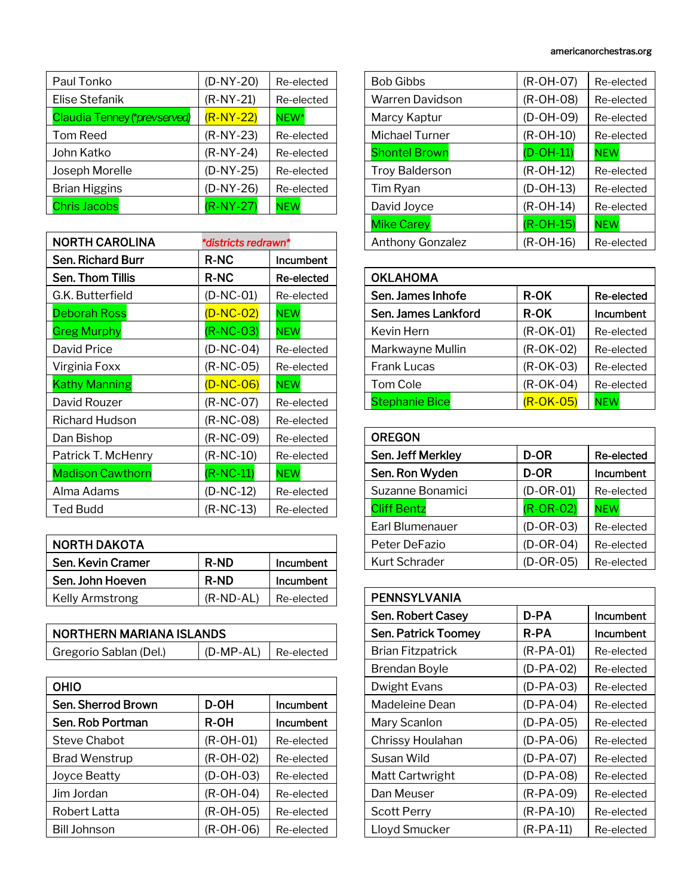| Paul Tonko                   | $(D-NY-20)$ | Re-elected |
|------------------------------|-------------|------------|
| Elise Stefanik               | $(R-NY-21)$ | Re-elected |
| Claudia Tenney (*prevserved) | $(R-NY-22)$ | $NEW*$     |
| Tom Reed                     | $(R-NY-23)$ | Re-elected |
| John Katko                   | $(R-NY-24)$ | Re-elected |
| Joseph Morelle               | $(D-NY-25)$ | Re-elected |
| <b>Brian Higgins</b>         | $(D-NY-26)$ | Re-elected |
| <b>Chris Jacobs</b>          | $(R-NY-27)$ | NEW        |

| <b>NORTH CAROLINA</b>   | *districts redrawn* |            |
|-------------------------|---------------------|------------|
| Sen. Richard Burr       | R-NC                | Incumbent  |
| Sen. Thom Tillis        | <b>R-NC</b>         | Re-elected |
| G.K. Butterfield        | $(D-NC-01)$         | Re-elected |
| Deborah Ross            | $(D-NC-02)$         | <b>NEW</b> |
| <b>Greg Murphy</b>      | $(R-NC-03)$         | <b>NEW</b> |
| David Price             | $(D-NC-04)$         | Re-elected |
| Virginia Foxx           | $(R-NC-05)$         | Re-elected |
| <b>Kathy Manning</b>    | $(D-NC-06)$         | <b>NEW</b> |
| David Rouzer            | $(R-NC-07)$         | Re-elected |
| Richard Hudson          | $(R-NC-08)$         | Re-elected |
| Dan Bishop              | $(R-NC-09)$         | Re-elected |
| Patrick T. McHenry      | $(R-NC-10)$         | Re-elected |
| <b>Madison Cawthorn</b> | $(R-NC-11)$         | <b>NEW</b> |
| Alma Adams              | $(D-NC-12)$         | Re-elected |
| Ted Budd                | (R-NC-13)           | Re-elected |

| <b>NORTH DAKOTA</b>    |             |            |
|------------------------|-------------|------------|
| Sen, Kevin Cramer      | <b>R-ND</b> | Incumbent  |
| Sen. John Hoeven       | <b>R-ND</b> | Incumbent  |
| <b>Kelly Armstrong</b> | $(R-ND-AL)$ | Re-elected |

| NORTHERN MARIANA ISLANDS |                              |  |
|--------------------------|------------------------------|--|
| Gregorio Sablan (Del.)   | $ $ (D-MP-AL) $ $ Re-elected |  |

| OHIO                |             |            |
|---------------------|-------------|------------|
| Sen. Sherrod Brown  | D-OH        | Incumbent  |
| Sen. Rob Portman    | <b>R-OH</b> | Incumbent  |
| Steve Chabot        | $(R-OH-O1)$ | Re-elected |
| Brad Wenstrup       | (R-OH-02)   | Re-elected |
| <b>Joyce Beatty</b> | $(D-OH-03)$ | Re-elected |
| Jim Jordan          | $(R-OH-O4)$ | Re-elected |
| Robert Latta        | $(R-OH-05)$ | Re-elected |
| <b>Bill Johnson</b> | $(R-OH-06)$ | Re-elected |

| <b>Bob Gibbs</b>        | (R-OH-07)   | Re-elected |
|-------------------------|-------------|------------|
| Warren Davidson         | $(R-OH-08)$ | Re-elected |
| Marcy Kaptur            | $(D-OH-O9)$ | Re-elected |
| Michael Turner          | $(R-OH-10)$ | Re-elected |
| <b>Shontel Brown</b>    | $(D-OH-11)$ | <b>NEW</b> |
| <b>Troy Balderson</b>   | $(R-OH-12)$ | Re-elected |
| Tim Ryan                | $(D-OH-13)$ | Re-elected |
| David Joyce             | $(R-OH-14)$ | Re-elected |
| <b>Mike Carey</b>       | $(R-OH-15)$ | <b>NEW</b> |
| <b>Anthony Gonzalez</b> | $(R-OH-16)$ | Re-elected |

| <b>OKLAHOMA</b>       |             |            |
|-----------------------|-------------|------------|
| Sen. James Inhofe     | <b>R-OK</b> | Re-elected |
| Sen. James Lankford   | <b>R-OK</b> | Incumbent  |
| Kevin Hern            | $(R-OK-01)$ | Re-elected |
| Markwayne Mullin      | $(R-OK-02)$ | Re-elected |
| <b>Frank Lucas</b>    | $(R-OK-03)$ | Re-elected |
| Tom Cole              | $(R-OK-04)$ | Re-elected |
| <b>Stephanie Bice</b> | $(R-OK-O5)$ | <b>NEW</b> |

| <b>OREGON</b>        |             |            |
|----------------------|-------------|------------|
| Sen. Jeff Merkley    | D-OR        | Re-elected |
| Sen. Ron Wyden       | D-OR        | Incumbent  |
| Suzanne Bonamici     | $(D-OR-01)$ | Re-elected |
| <b>Cliff Bentz</b>   | $(R-OR-O2)$ | <b>NEW</b> |
| Earl Blumenauer      | $(D-OR-03)$ | Re-elected |
| Peter DeFazio        | $(D-OR-04)$ | Re-elected |
| <b>Kurt Schrader</b> | $(D-OR-05)$ | Re-elected |

| <b>PENNSYLVANIA</b>        |             |            |
|----------------------------|-------------|------------|
| Sen. Robert Casey          | D-PA        | Incumbent  |
| <b>Sen. Patrick Toomey</b> | R-PA        | Incumbent  |
| Brian Fitzpatrick          | $(R-PA-01)$ | Re-elected |
| <b>Brendan Boyle</b>       | (D-PA-02)   | Re-elected |
| Dwight Evans               | $(D-PA-03)$ | Re-elected |
| Madeleine Dean             | $(D-PA-04)$ | Re-elected |
| Mary Scanlon               | (D-PA-05)   | Re-elected |
| Chrissy Houlahan           | $(D-PA-06)$ | Re-elected |
| Susan Wild                 | $(D-PA-07)$ | Re-elected |
| Matt Cartwright            | (D-PA-08)   | Re-elected |
| Dan Meuser                 | (R-PA-09)   | Re-elected |
| <b>Scott Perry</b>         | (R-PA-10)   | Re-elected |
| Lloyd Smucker              | (R-PA-11)   | Re-elected |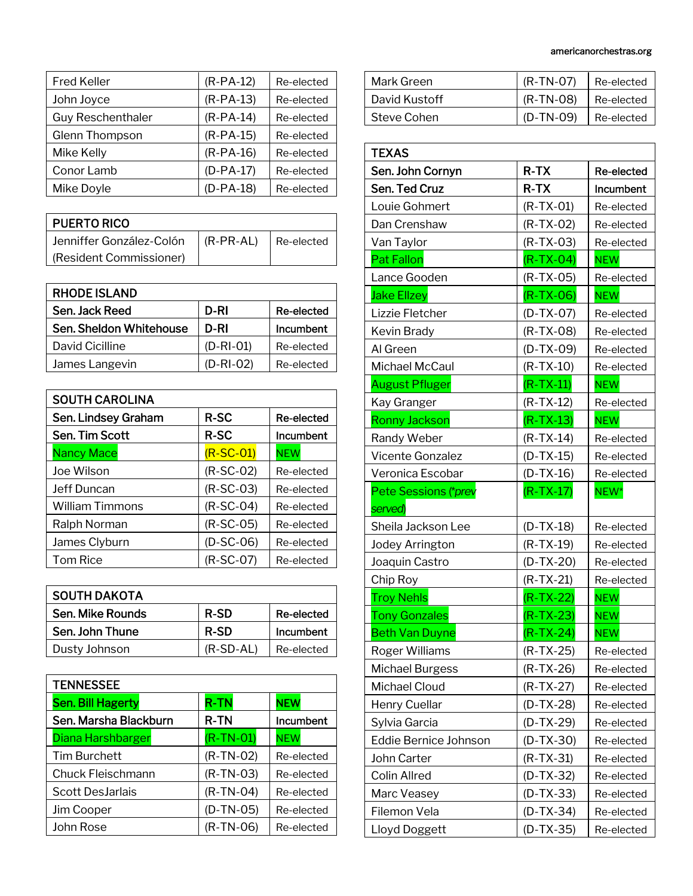| <b>Fred Keller</b>       | $(R-PA-12)$ | Re-elected |
|--------------------------|-------------|------------|
| John Joyce               | $(R-PA-13)$ | Re-elected |
| <b>Guy Reschenthaler</b> | $(R-PA-14)$ | Re-elected |
| Glenn Thompson           | $(R-PA-15)$ | Re-elected |
| Mike Kelly               | $(R-PA-16)$ | Re-elected |
| Conor Lamb               | $(D-PA-17)$ | Re-elected |
| Mike Doyle               | $(D-PA-18)$ | Re-elected |

| <b>PUERTO RICO</b>       |               |              |
|--------------------------|---------------|--------------|
| Jenniffer González-Colón | $ $ (R-PR-AL) | I Re-elected |
| (Resident Commissioner)  |               |              |

| <b>RHODE ISLAND</b>     |             |            |
|-------------------------|-------------|------------|
| Sen. Jack Reed          | D-RI        | Re-elected |
| Sen. Sheldon Whitehouse | D-RI        | Incumbent  |
| David Cicilline         | $(D-RI-01)$ | Re-elected |
| James Langevin          | $(D-RI-02)$ | Re-elected |

| <b>SOUTH CAROLINA</b> |             |            |
|-----------------------|-------------|------------|
| Sen. Lindsey Graham   | R-SC        | Re-elected |
| Sen. Tim Scott        | <b>R-SC</b> | Incumbent  |
| <b>Nancy Mace</b>     | $(R-SC-01)$ | <b>NEW</b> |
| Joe Wilson            | $(R-SC-02)$ | Re-elected |
| Jeff Duncan           | $(R-SC-03)$ | Re-elected |
| William Timmons       | $(R-SC-04)$ | Re-elected |
| Ralph Norman          | $(R-SC-05)$ | Re-elected |
| James Clyburn         | $(D-SC-06)$ | Re-elected |
| <b>Tom Rice</b>       | $(R-SC-07)$ | Re-elected |

| <b>SOUTH DAKOTA</b> |             |            |
|---------------------|-------------|------------|
| Sen. Mike Rounds    | <b>R-SD</b> | Re-elected |
| Sen. John Thune     | <b>R-SD</b> | Incumbent  |
| Dusty Johnson       | $(R-SD-AL)$ | Re-elected |
|                     |             |            |

| <b>TENNESSEE</b>         |             |            |
|--------------------------|-------------|------------|
| <b>Sen. Bill Hagerty</b> | <b>R-TN</b> | <b>NEW</b> |
| Sen. Marsha Blackburn    | <b>R-TN</b> | Incumbent  |
| Diana Harshbarger        | $(R-TN-01)$ | <b>NEW</b> |
| <b>Tim Burchett</b>      | $(R-TN-02)$ | Re-elected |
| Chuck Fleischmann        | $(R-TN-03)$ | Re-elected |
| <b>Scott DesJarlais</b>  | $(R-TN-04)$ | Re-elected |
| Jim Cooper               | $(D-TN-05)$ | Re-elected |
| John Rose                | $(R-TN-06)$ | Re-elected |

| Mark Green    | $(R-TN-07)$ | Re-elected |
|---------------|-------------|------------|
| David Kustoff | $(R-TN-08)$ | Re-elected |
| Steve Cohen   | $(D-TN-09)$ | Re-elected |

| <b>TEXAS</b>          |             |            |
|-----------------------|-------------|------------|
| Sen. John Cornyn      | R-TX        | Re-elected |
| Sen. Ted Cruz         | $R-TX$      | Incumbent  |
| Louie Gohmert         | $(R-TX-01)$ | Re-elected |
| Dan Crenshaw          | $(R-TX-02)$ | Re-elected |
| Van Taylor            | $(R-TX-03)$ | Re-elected |
| <b>Pat Fallon</b>     | $(R-TX-04)$ | <b>NEW</b> |
| Lance Gooden          | $(R-TX-05)$ | Re-elected |
| <b>Jake Ellzey</b>    | $(R-TX-06)$ | <b>NEW</b> |
| Lizzie Fletcher       | $(D-TX-07)$ | Re-elected |
| Kevin Brady           | $(R-TX-08)$ | Re-elected |
| Al Green              | $(D-TX-09)$ | Re-elected |
| Michael McCaul        | $(R-TX-10)$ | Re-elected |
| <b>August Pfluger</b> | $(R-TX-11)$ | <b>NEW</b> |
| Kay Granger           | $(R-TX-12)$ | Re-elected |
| <b>Ronny Jackson</b>  | $(R-TX-13)$ | <b>NEW</b> |
| Randy Weber           | $(R-TX-14)$ | Re-elected |
| Vicente Gonzalez      | $(D-TX-15)$ | Re-elected |
| Veronica Escobar      | $(D-TX-16)$ | Re-elected |
| Pete Sessions (*prev  | $(R-TX-17)$ | NEW*       |
| served)               |             |            |
| Sheila Jackson Lee    | $(D-TX-18)$ | Re-elected |
| Jodey Arrington       | $(R-TX-19)$ | Re-elected |
| Joaquin Castro        | $(D-TX-20)$ | Re-elected |
| Chip Roy              | $(R-TX-21)$ | Re-elected |
| <b>Troy Nehls</b>     | $(R-TX-22)$ | <b>NEW</b> |
| <b>Tony Gonzales</b>  | $(R-TX-23)$ | <b>NEW</b> |
| <b>Beth Van Duyne</b> | (R-TX-24)   | <b>NEW</b> |
| Roger Williams        | $(R-TX-25)$ | Re-elected |
| Michael Burgess       | $(R-TX-26)$ | Re-elected |
| Michael Cloud         | $(R-TX-27)$ | Re-elected |
| Henry Cuellar         | $(D-TX-28)$ | Re-elected |
| Sylvia Garcia         | $(D-TX-29)$ | Re-elected |
| Eddie Bernice Johnson | $(D-TX-30)$ | Re-elected |
| John Carter           | $(R-TX-31)$ | Re-elected |
| <b>Colin Allred</b>   | $(D-TX-32)$ | Re-elected |
| Marc Veasey           | (D-TX-33)   | Re-elected |
| Filemon Vela          | $(D-TX-34)$ | Re-elected |
| Lloyd Doggett         | $(D-TX-35)$ | Re-elected |